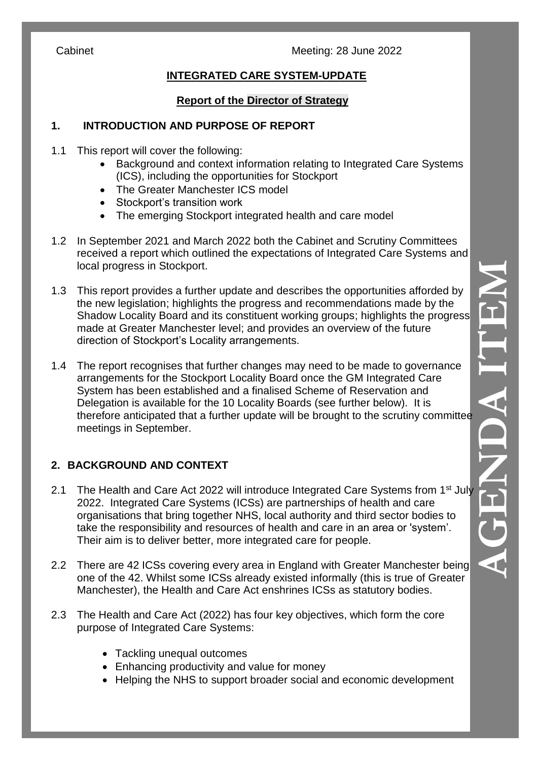# **INTEGRATED CARE SYSTEM -UPDATE**

### **Report of the Director of Strategy**

## **1. INTRODUCTION AND PURPOSE OF REPORT**

1.1 This report will cover the following:

- Background and context information relating to Integrated Care Systems (ICS), including the opportunities for Stockport
- The Greater Manchester ICS model
- Stockport's transition work
- The emerging Stockport integrated health and care model
- 1.2 In September 2021 and March 2022 both the Cabinet and Scrutiny Committees received a report which outlined the expectations of Integrated Care Systems and local progress in Stockport.
- 1.3 This report provides a further update and describes the opportunities afforded by the new legislation ; highlights the progress and recommendations made by the Shadow Locality Board and its constituent working groups; highlights the progress made at Greater Manchester level ; and provides an overview of the future direction of Stockport's Locality arrangements.
- 1.4 The report recognises that further changes may need to be made to governance arrangements for the Stockport Locality Board once the GM Integrated Care System has been established and a finalised Scheme of Reservation and Delegation is available for the 10 Locality Boards (see further below) . It is therefore anticipated that a further update will be brought to the scrutiny committee meetings in September.

## **2. BACKGROUND AND CONTEXT**

- 2.1 The Health and Care Act 2022 will introduce Integrated Care Systems from 1<sup>st</sup> July 2022. Integrated Care Systems (ICSs) are partnerships of health and care organisations that bring together NHS, local authority and third sector bodies to take the responsibility and resources of health and care in an area or 'system'. Their aim is to deliver better, more integrated care for people .
- 2.2 There are 42 ICSs covering every area in England with Greater Manchester being one of the 42. Whilst some ICSs already existed informally (this is true of Greater Manchester), the Health and Care Act enshrines ICSs as statutory bodies.
- 2.3 The Health and Care Act (202 2) has four key objectives, which form the core purpose of Integrated Care Systems:
	- Tackling unequal outcomes
	- Enhancing productivity and value for money
	- Helping the NHS to support broader social and economic development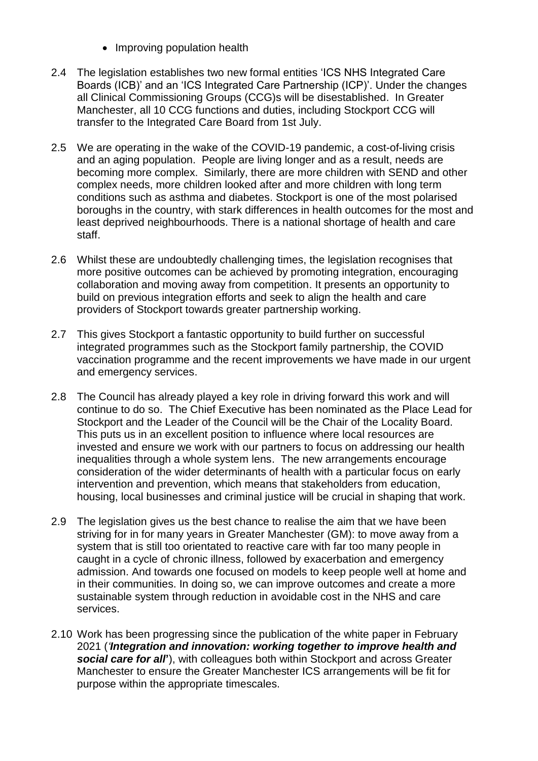- Improving population health
- 2.4 The legislation establishes two new formal entities 'ICS NHS Integrated Care Boards (ICB)' and an 'ICS Integrated Care Partnership (ICP)'. Under the changes all Clinical Commissioning Groups (CCG)s will be disestablished. In Greater Manchester, all 10 CCG functions and duties, including Stockport CCG will transfer to the Integrated Care Board from 1st July.
- 2.5 We are operating in the wake of the COVID-19 pandemic, a cost-of-living crisis and an aging population. People are living longer and as a result, needs are becoming more complex. Similarly, there are more children with SEND and other complex needs, more children looked after and more children with long term conditions such as asthma and diabetes. Stockport is one of the most polarised boroughs in the country, with stark differences in health outcomes for the most and least deprived neighbourhoods. There is a national shortage of health and care staff.
- 2.6 Whilst these are undoubtedly challenging times, the legislation recognises that more positive outcomes can be achieved by promoting integration, encouraging collaboration and moving away from competition. It presents an opportunity to build on previous integration efforts and seek to align the health and care providers of Stockport towards greater partnership working.
- 2.7 This gives Stockport a fantastic opportunity to build further on successful integrated programmes such as the Stockport family partnership, the COVID vaccination programme and the recent improvements we have made in our urgent and emergency services.
- 2.8 The Council has already played a key role in driving forward this work and will continue to do so. The Chief Executive has been nominated as the Place Lead for Stockport and the Leader of the Council will be the Chair of the Locality Board. This puts us in an excellent position to influence where local resources are invested and ensure we work with our partners to focus on addressing our health inequalities through a whole system lens. The new arrangements encourage consideration of the wider determinants of health with a particular focus on early intervention and prevention, which means that stakeholders from education, housing, local businesses and criminal justice will be crucial in shaping that work.
- 2.9 The legislation gives us the best chance to realise the aim that we have been striving for in for many years in Greater Manchester (GM): to move away from a system that is still too orientated to reactive care with far too many people in caught in a cycle of chronic illness, followed by exacerbation and emergency admission. And towards one focused on models to keep people well at home and in their communities. In doing so, we can improve outcomes and create a more sustainable system through reduction in avoidable cost in the NHS and care services.
- 2.10 Work has been progressing since the publication of the white paper in February 2021 (*'Integration and innovation: working together to improve health and social care for all***'**), with colleagues both within Stockport and across Greater Manchester to ensure the Greater Manchester ICS arrangements will be fit for purpose within the appropriate timescales.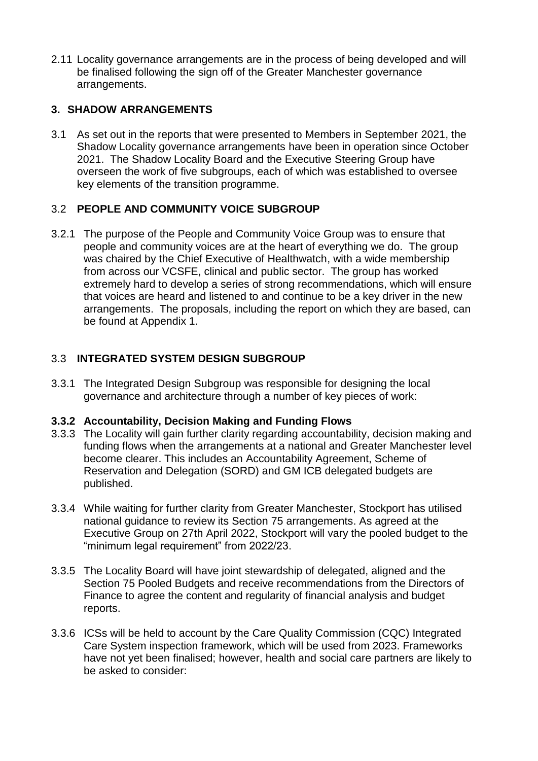2.11 Locality governance arrangements are in the process of being developed and will be finalised following the sign off of the Greater Manchester governance arrangements.

### **3. SHADOW ARRANGEMENTS**

3.1 As set out in the reports that were presented to Members in September 2021, the Shadow Locality governance arrangements have been in operation since October 2021. The Shadow Locality Board and the Executive Steering Group have overseen the work of five subgroups, each of which was established to oversee key elements of the transition programme.

### 3.2 **PEOPLE AND COMMUNITY VOICE SUBGROUP**

3.2.1 The purpose of the People and Community Voice Group was to ensure that people and community voices are at the heart of everything we do. The group was chaired by the Chief Executive of Healthwatch, with a wide membership from across our VCSFE, clinical and public sector. The group has worked extremely hard to develop a series of strong recommendations, which will ensure that voices are heard and listened to and continue to be a key driver in the new arrangements. The proposals, including the report on which they are based, can be found at Appendix 1.

## 3.3 **INTEGRATED SYSTEM DESIGN SUBGROUP**

3.3.1 The Integrated Design Subgroup was responsible for designing the local governance and architecture through a number of key pieces of work:

### **3.3.2 Accountability, Decision Making and Funding Flows**

- 3.3.3 The Locality will gain further clarity regarding accountability, decision making and funding flows when the arrangements at a national and Greater Manchester level become clearer. This includes an Accountability Agreement, Scheme of Reservation and Delegation (SORD) and GM ICB delegated budgets are published.
- 3.3.4 While waiting for further clarity from Greater Manchester, Stockport has utilised national guidance to review its Section 75 arrangements. As agreed at the Executive Group on 27th April 2022, Stockport will vary the pooled budget to the "minimum legal requirement" from 2022/23.
- 3.3.5 The Locality Board will have joint stewardship of delegated, aligned and the Section 75 Pooled Budgets and receive recommendations from the Directors of Finance to agree the content and regularity of financial analysis and budget reports.
- 3.3.6 ICSs will be held to account by the Care Quality Commission (CQC) Integrated Care System inspection framework, which will be used from 2023. Frameworks have not yet been finalised; however, health and social care partners are likely to be asked to consider: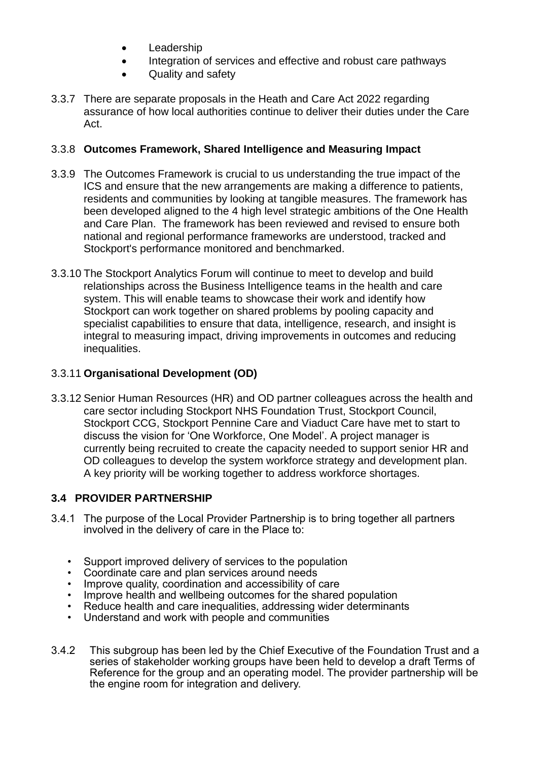- Leadership
- Integration of services and effective and robust care pathways
- Quality and safety
- 3.3.7 There are separate proposals in the Heath and Care Act 2022 regarding assurance of how local authorities continue to deliver their duties under the Care Act.

### 3.3.8 **Outcomes Framework, Shared Intelligence and Measuring Impact**

- 3.3.9 The Outcomes Framework is crucial to us understanding the true impact of the ICS and ensure that the new arrangements are making a difference to patients, residents and communities by looking at tangible measures. The framework has been developed aligned to the 4 high level strategic ambitions of the One Health and Care Plan. The framework has been reviewed and revised to ensure both national and regional performance frameworks are understood, tracked and Stockport's performance monitored and benchmarked.
- 3.3.10 The Stockport Analytics Forum will continue to meet to develop and build relationships across the Business Intelligence teams in the health and care system. This will enable teams to showcase their work and identify how Stockport can work together on shared problems by pooling capacity and specialist capabilities to ensure that data, intelligence, research, and insight is integral to measuring impact, driving improvements in outcomes and reducing inequalities.

### 3.3.11 **Organisational Development (OD)**

3.3.12 Senior Human Resources (HR) and OD partner colleagues across the health and care sector including Stockport NHS Foundation Trust, Stockport Council, Stockport CCG, Stockport Pennine Care and Viaduct Care have met to start to discuss the vision for 'One Workforce, One Model'. A project manager is currently being recruited to create the capacity needed to support senior HR and OD colleagues to develop the system workforce strategy and development plan. A key priority will be working together to address workforce shortages.

### **3.4 PROVIDER PARTNERSHIP**

- 3.4.1 The purpose of the Local Provider Partnership is to bring together all partners involved in the delivery of care in the Place to:
	- Support improved delivery of services to the population
	- Coordinate care and plan services around needs
	- Improve quality, coordination and accessibility of care
	- Improve health and wellbeing outcomes for the shared population
	- Reduce health and care inequalities, addressing wider determinants
	- Understand and work with people and communities
- 3.4.2 This subgroup has been led by the Chief Executive of the Foundation Trust and a series of stakeholder working groups have been held to develop a draft Terms of Reference for the group and an operating model. The provider partnership will be the engine room for integration and delivery.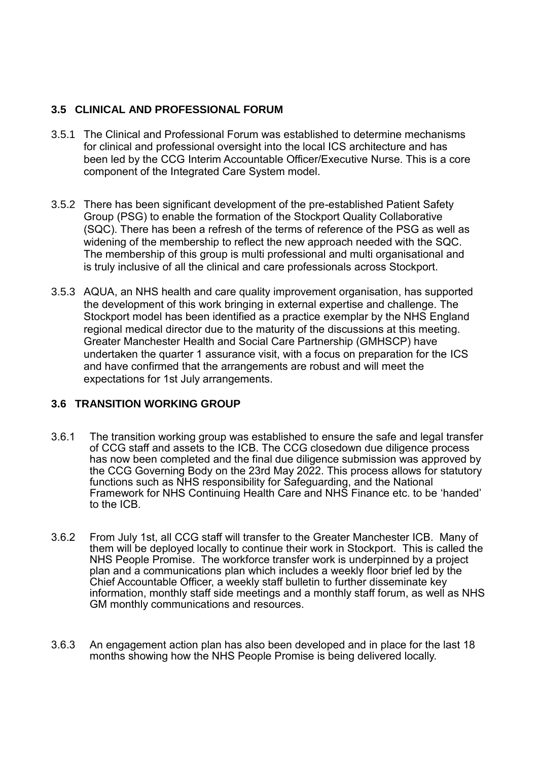### **3.5 CLINICAL AND PROFESSIONAL FORUM**

- 3.5.1 The Clinical and Professional Forum was established to determine mechanisms for clinical and professional oversight into the local ICS architecture and has been led by the CCG Interim Accountable Officer/Executive Nurse. This is a core component of the Integrated Care System model.
- 3.5.2 There has been significant development of the pre-established Patient Safety Group (PSG) to enable the formation of the Stockport Quality Collaborative (SQC). There has been a refresh of the terms of reference of the PSG as well as widening of the membership to reflect the new approach needed with the SQC. The membership of this group is multi professional and multi organisational and is truly inclusive of all the clinical and care professionals across Stockport.
- 3.5.3 AQUA, an NHS health and care quality improvement organisation, has supported the development of this work bringing in external expertise and challenge. The Stockport model has been identified as a practice exemplar by the NHS England regional medical director due to the maturity of the discussions at this meeting. Greater Manchester Health and Social Care Partnership (GMHSCP) have undertaken the quarter 1 assurance visit, with a focus on preparation for the ICS and have confirmed that the arrangements are robust and will meet the expectations for 1st July arrangements.

### **3.6 TRANSITION WORKING GROUP**

- 3.6.1 The transition working group was established to ensure the safe and legal transfer of CCG staff and assets to the ICB. The CCG closedown due diligence process has now been completed and the final due diligence submission was approved by the CCG Governing Body on the 23rd May 2022. This process allows for statutory functions such as NHS responsibility for Safeguarding, and the National Framework for NHS Continuing Health Care and NHS Finance etc. to be 'handed' to the ICB.
- 3.6.2 From July 1st, all CCG staff will transfer to the Greater Manchester ICB. Many of them will be deployed locally to continue their work in Stockport. This is called the NHS People Promise. The workforce transfer work is underpinned by a project plan and a communications plan which includes a weekly floor brief led by the Chief Accountable Officer, a weekly staff bulletin to further disseminate key information, monthly staff side meetings and a monthly staff forum, as well as NHS GM monthly communications and resources.
- 3.6.3 An engagement action plan has also been developed and in place for the last 18 months showing how the NHS People Promise is being delivered locally.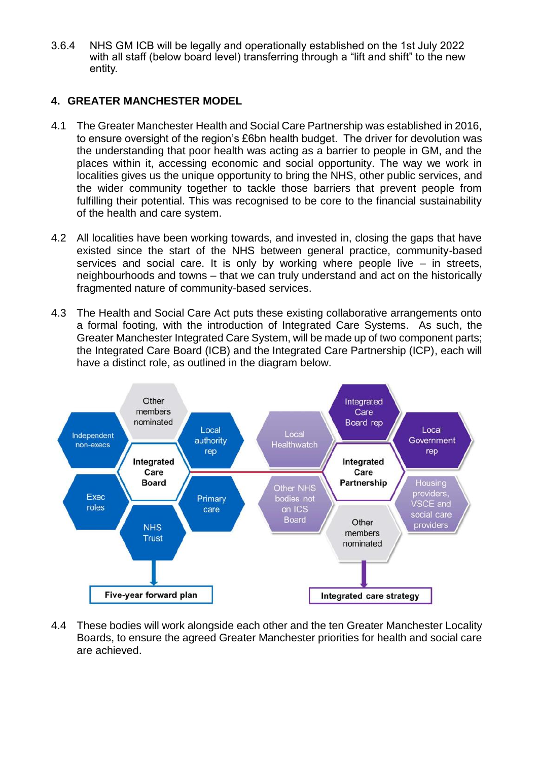3.6.4 NHS GM ICB will be legally and operationally established on the 1st July 2022 with all staff (below board level) transferring through a "lift and shift" to the new entity.

#### **4. GREATER MANCHESTER MODEL**

- 4.1 The Greater Manchester Health and Social Care Partnership was established in 2016, to ensure oversight of the region's £6bn health budget. The driver for devolution was the understanding that poor health was acting as a barrier to people in GM, and the places within it, accessing economic and social opportunity. The way we work in localities gives us the unique opportunity to bring the NHS, other public services, and the wider community together to tackle those barriers that prevent people from fulfilling their potential. This was recognised to be core to the financial sustainability of the health and care system.
- 4.2 All localities have been working towards, and invested in, closing the gaps that have existed since the start of the NHS between general practice, community-based services and social care. It is only by working where people live – in streets, neighbourhoods and towns – that we can truly understand and act on the historically fragmented nature of community-based services.
- 4.3 The Health and Social Care Act puts these existing collaborative arrangements onto a formal footing, with the introduction of Integrated Care Systems. As such, the Greater Manchester Integrated Care System, will be made up of two component parts; the Integrated Care Board (ICB) and the Integrated Care Partnership (ICP), each will have a distinct role, as outlined in the diagram below.



4.4 These bodies will work alongside each other and the ten Greater Manchester Locality Boards, to ensure the agreed Greater Manchester priorities for health and social care are achieved.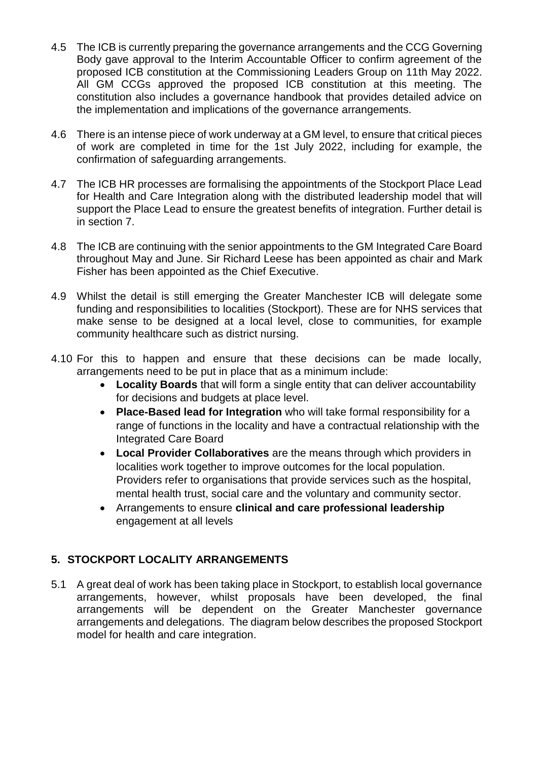- 4.5 The ICB is currently preparing the governance arrangements and the CCG Governing Body gave approval to the Interim Accountable Officer to confirm agreement of the proposed ICB constitution at the Commissioning Leaders Group on 11th May 2022. All GM CCGs approved the proposed ICB constitution at this meeting. The constitution also includes a governance handbook that provides detailed advice on the implementation and implications of the governance arrangements.
- 4.6 There is an intense piece of work underway at a GM level, to ensure that critical pieces of work are completed in time for the 1st July 2022, including for example, the confirmation of safeguarding arrangements.
- 4.7 The ICB HR processes are formalising the appointments of the Stockport Place Lead for Health and Care Integration along with the distributed leadership model that will support the Place Lead to ensure the greatest benefits of integration. Further detail is in section 7.
- 4.8 The ICB are continuing with the senior appointments to the GM Integrated Care Board throughout May and June. Sir Richard Leese has been appointed as chair and Mark Fisher has been appointed as the Chief Executive.
- 4.9 Whilst the detail is still emerging the Greater Manchester ICB will delegate some funding and responsibilities to localities (Stockport). These are for NHS services that make sense to be designed at a local level, close to communities, for example community healthcare such as district nursing.
- 4.10 For this to happen and ensure that these decisions can be made locally, arrangements need to be put in place that as a minimum include:
	- **Locality Boards** that will form a single entity that can deliver accountability for decisions and budgets at place level.
	- **Place-Based lead for Integration** who will take formal responsibility for a range of functions in the locality and have a contractual relationship with the Integrated Care Board
	- **Local Provider Collaboratives** are the means through which providers in localities work together to improve outcomes for the local population. Providers refer to organisations that provide services such as the hospital, mental health trust, social care and the voluntary and community sector.
	- Arrangements to ensure **clinical and care professional leadership** engagement at all levels

## **5. STOCKPORT LOCALITY ARRANGEMENTS**

5.1 A great deal of work has been taking place in Stockport, to establish local governance arrangements, however, whilst proposals have been developed, the final arrangements will be dependent on the Greater Manchester governance arrangements and delegations. The diagram below describes the proposed Stockport model for health and care integration.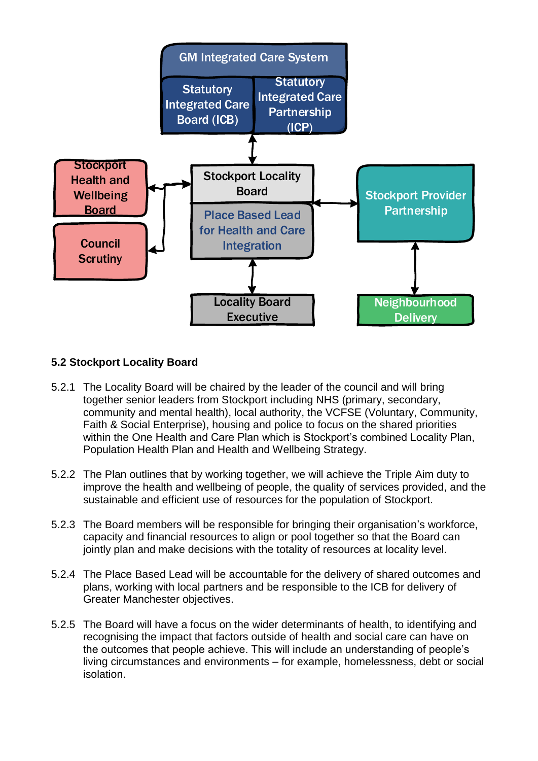

#### **5.2 Stockport Locality Board**

- 5.2.1 The Locality Board will be chaired by the leader of the council and will bring together senior leaders from Stockport including NHS (primary, secondary, community and mental health), local authority, the VCFSE (Voluntary, Community, Faith & Social Enterprise), housing and police to focus on the shared priorities within the One Health and Care Plan which is Stockport's combined Locality Plan, Population Health Plan and Health and Wellbeing Strategy.
- 5.2.2 The Plan outlines that by working together, we will achieve the Triple Aim duty to improve the health and wellbeing of people, the quality of services provided, and the sustainable and efficient use of resources for the population of Stockport.
- 5.2.3 The Board members will be responsible for bringing their organisation's workforce, capacity and financial resources to align or pool together so that the Board can jointly plan and make decisions with the totality of resources at locality level.
- 5.2.4 The Place Based Lead will be accountable for the delivery of shared outcomes and plans, working with local partners and be responsible to the ICB for delivery of Greater Manchester objectives.
- 5.2.5 The Board will have a focus on the wider determinants of health, to identifying and recognising the impact that factors outside of health and social care can have on the outcomes that people achieve. This will include an understanding of people's living circumstances and environments – for example, homelessness, debt or social isolation.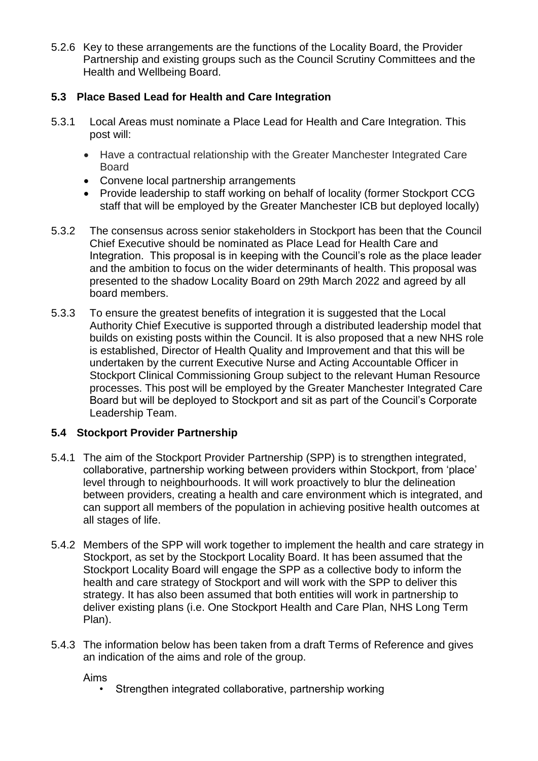5.2.6 Key to these arrangements are the functions of the Locality Board, the Provider Partnership and existing groups such as the Council Scrutiny Committees and the Health and Wellbeing Board.

### **5.3 Place Based Lead for Health and Care Integration**

- 5.3.1 Local Areas must nominate a Place Lead for Health and Care Integration. This post will:
	- Have a contractual relationship with the Greater Manchester Integrated Care Board
	- Convene local partnership arrangements
	- Provide leadership to staff working on behalf of locality (former Stockport CCG staff that will be employed by the Greater Manchester ICB but deployed locally)
- 5.3.2 The consensus across senior stakeholders in Stockport has been that the Council Chief Executive should be nominated as Place Lead for Health Care and Integration. This proposal is in keeping with the Council's role as the place leader and the ambition to focus on the wider determinants of health. This proposal was presented to the shadow Locality Board on 29th March 2022 and agreed by all board members.
- 5.3.3 To ensure the greatest benefits of integration it is suggested that the Local Authority Chief Executive is supported through a distributed leadership model that builds on existing posts within the Council. It is also proposed that a new NHS role is established, Director of Health Quality and Improvement and that this will be undertaken by the current Executive Nurse and Acting Accountable Officer in Stockport Clinical Commissioning Group subject to the relevant Human Resource processes. This post will be employed by the Greater Manchester Integrated Care Board but will be deployed to Stockport and sit as part of the Council's Corporate Leadership Team.

### **5.4 Stockport Provider Partnership**

- 5.4.1 The aim of the Stockport Provider Partnership (SPP) is to strengthen integrated, collaborative, partnership working between providers within Stockport, from 'place' level through to neighbourhoods. It will work proactively to blur the delineation between providers, creating a health and care environment which is integrated, and can support all members of the population in achieving positive health outcomes at all stages of life.
- 5.4.2 Members of the SPP will work together to implement the health and care strategy in Stockport, as set by the Stockport Locality Board. It has been assumed that the Stockport Locality Board will engage the SPP as a collective body to inform the health and care strategy of Stockport and will work with the SPP to deliver this strategy. It has also been assumed that both entities will work in partnership to deliver existing plans (i.e. One Stockport Health and Care Plan, NHS Long Term Plan).
- 5.4.3 The information below has been taken from a draft Terms of Reference and gives an indication of the aims and role of the group.

Aims

Strengthen integrated collaborative, partnership working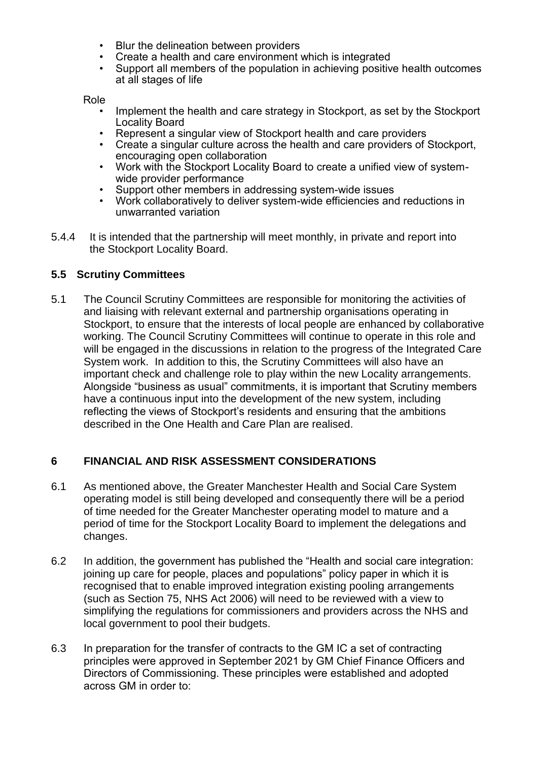- Blur the delineation between providers
- Create a health and care environment which is integrated
- Support all members of the population in achieving positive health outcomes at all stages of life

Role

- Implement the health and care strategy in Stockport, as set by the Stockport Locality Board
- Represent a singular view of Stockport health and care providers
- Create a singular culture across the health and care providers of Stockport, encouraging open collaboration
- Work with the Stockport Locality Board to create a unified view of systemwide provider performance
- Support other members in addressing system-wide issues
- Work collaboratively to deliver system-wide efficiencies and reductions in unwarranted variation
- 5.4.4 It is intended that the partnership will meet monthly, in private and report into the Stockport Locality Board.

#### **5.5 Scrutiny Committees**

5.1 The Council Scrutiny Committees are responsible for monitoring the activities of and liaising with relevant external and partnership organisations operating in Stockport, to ensure that the interests of local people are enhanced by collaborative working. The Council Scrutiny Committees will continue to operate in this role and will be engaged in the discussions in relation to the progress of the Integrated Care System work. In addition to this, the Scrutiny Committees will also have an important check and challenge role to play within the new Locality arrangements. Alongside "business as usual" commitments, it is important that Scrutiny members have a continuous input into the development of the new system, including reflecting the views of Stockport's residents and ensuring that the ambitions described in the One Health and Care Plan are realised.

### **6 FINANCIAL AND RISK ASSESSMENT CONSIDERATIONS**

- 6.1 As mentioned above, the Greater Manchester Health and Social Care System operating model is still being developed and consequently there will be a period of time needed for the Greater Manchester operating model to mature and a period of time for the Stockport Locality Board to implement the delegations and changes.
- 6.2 In addition, the government has published the "Health and social care integration: joining up care for people, places and populations" policy paper in which it is recognised that to enable improved integration existing pooling arrangements (such as Section 75, NHS Act 2006) will need to be reviewed with a view to simplifying the regulations for commissioners and providers across the NHS and local government to pool their budgets.
- 6.3 In preparation for the transfer of contracts to the GM IC a set of contracting principles were approved in September 2021 by GM Chief Finance Officers and Directors of Commissioning. These principles were established and adopted across GM in order to: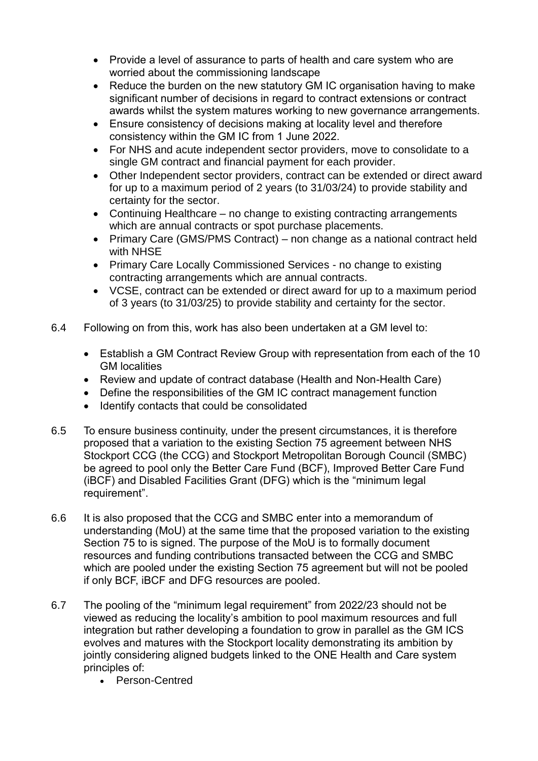- Provide a level of assurance to parts of health and care system who are worried about the commissioning landscape
- Reduce the burden on the new statutory GM IC organisation having to make significant number of decisions in regard to contract extensions or contract awards whilst the system matures working to new governance arrangements.
- Ensure consistency of decisions making at locality level and therefore consistency within the GM IC from 1 June 2022.
- For NHS and acute independent sector providers, move to consolidate to a single GM contract and financial payment for each provider.
- Other Independent sector providers, contract can be extended or direct award for up to a maximum period of 2 years (to 31/03/24) to provide stability and certainty for the sector.
- Continuing Healthcare no change to existing contracting arrangements which are annual contracts or spot purchase placements.
- Primary Care (GMS/PMS Contract) non change as a national contract held with NHSE
- Primary Care Locally Commissioned Services no change to existing contracting arrangements which are annual contracts.
- VCSE, contract can be extended or direct award for up to a maximum period of 3 years (to 31/03/25) to provide stability and certainty for the sector.
- 6.4 Following on from this, work has also been undertaken at a GM level to:
	- Establish a GM Contract Review Group with representation from each of the 10 GM localities
	- Review and update of contract database (Health and Non-Health Care)
	- Define the responsibilities of the GM IC contract management function
	- Identify contacts that could be consolidated
- 6.5 To ensure business continuity, under the present circumstances, it is therefore proposed that a variation to the existing Section 75 agreement between NHS Stockport CCG (the CCG) and Stockport Metropolitan Borough Council (SMBC) be agreed to pool only the Better Care Fund (BCF), Improved Better Care Fund (iBCF) and Disabled Facilities Grant (DFG) which is the "minimum legal requirement".
- 6.6 It is also proposed that the CCG and SMBC enter into a memorandum of understanding (MoU) at the same time that the proposed variation to the existing Section 75 to is signed. The purpose of the MoU is to formally document resources and funding contributions transacted between the CCG and SMBC which are pooled under the existing Section 75 agreement but will not be pooled if only BCF, iBCF and DFG resources are pooled.
- 6.7 The pooling of the "minimum legal requirement" from 2022/23 should not be viewed as reducing the locality's ambition to pool maximum resources and full integration but rather developing a foundation to grow in parallel as the GM ICS evolves and matures with the Stockport locality demonstrating its ambition by jointly considering aligned budgets linked to the ONE Health and Care system principles of:
	- Person-Centred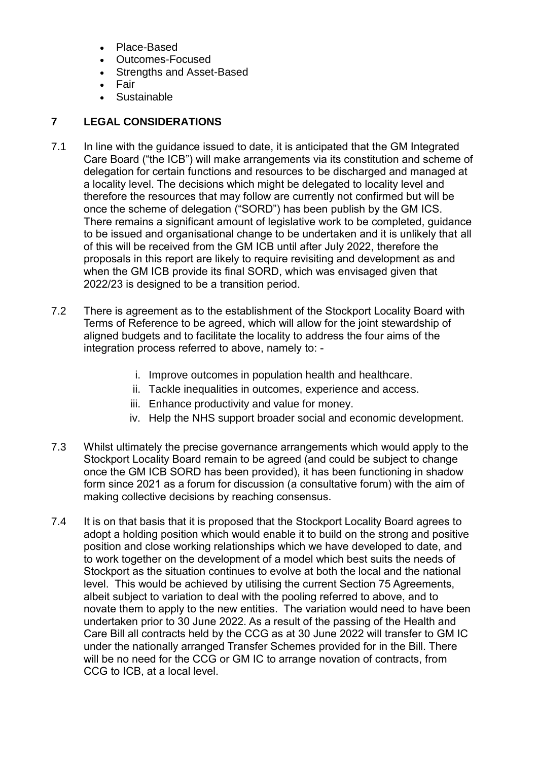- Place-Based
- Outcomes-Focused
- Strengths and Asset-Based
- Fair
- Sustainable

# **7 LEGAL CONSIDERATIONS**

- 7.1 In line with the quidance issued to date, it is anticipated that the GM Integrated Care Board ("the ICB") will make arrangements via its constitution and scheme of delegation for certain functions and resources to be discharged and managed at a locality level. The decisions which might be delegated to locality level and therefore the resources that may follow are currently not confirmed but will be once the scheme of delegation ("SORD") has been publish by the GM ICS. There remains a significant amount of legislative work to be completed, guidance to be issued and organisational change to be undertaken and it is unlikely that all of this will be received from the GM ICB until after July 2022, therefore the proposals in this report are likely to require revisiting and development as and when the GM ICB provide its final SORD, which was envisaged given that 2022/23 is designed to be a transition period.
- 7.2 There is agreement as to the establishment of the Stockport Locality Board with Terms of Reference to be agreed, which will allow for the joint stewardship of aligned budgets and to facilitate the locality to address the four aims of the integration process referred to above, namely to:
	- i. Improve outcomes in population health and healthcare.
	- ii. Tackle inequalities in outcomes, experience and access.
	- iii. Enhance productivity and value for money.
	- iv. Help the NHS support broader social and economic development.
- 7.3 Whilst ultimately the precise governance arrangements which would apply to the Stockport Locality Board remain to be agreed (and could be subject to change once the GM ICB SORD has been provided), it has been functioning in shadow form since 2021 as a forum for discussion (a consultative forum) with the aim of making collective decisions by reaching consensus.
- 7.4 It is on that basis that it is proposed that the Stockport Locality Board agrees to adopt a holding position which would enable it to build on the strong and positive position and close working relationships which we have developed to date, and to work together on the development of a model which best suits the needs of Stockport as the situation continues to evolve at both the local and the national level. This would be achieved by utilising the current Section 75 Agreements, albeit subject to variation to deal with the pooling referred to above, and to novate them to apply to the new entities. The variation would need to have been undertaken prior to 30 June 2022. As a result of the passing of the Health and Care Bill all contracts held by the CCG as at 30 June 2022 will transfer to GM IC under the nationally arranged Transfer Schemes provided for in the Bill. There will be no need for the CCG or GM IC to arrange novation of contracts, from CCG to ICB, at a local level.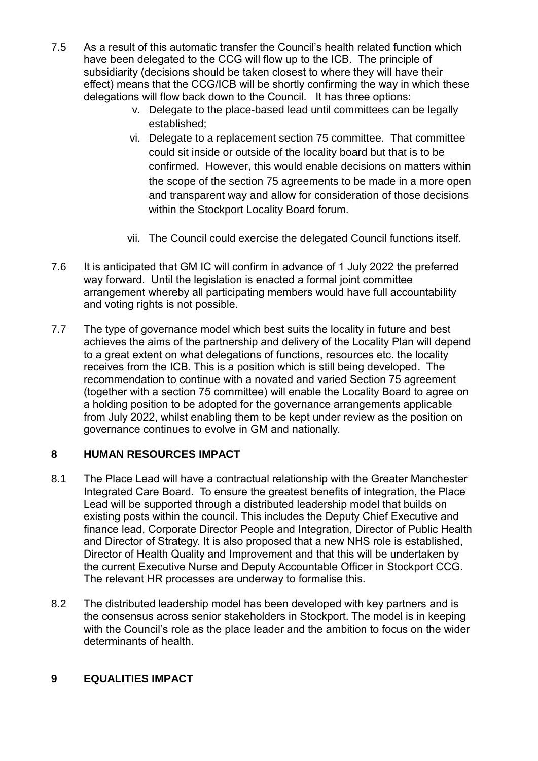- 7.5 As a result of this automatic transfer the Council's health related function which have been delegated to the CCG will flow up to the ICB. The principle of subsidiarity (decisions should be taken closest to where they will have their effect) means that the CCG/ICB will be shortly confirming the way in which these delegations will flow back down to the Council. It has three options:
	- v. Delegate to the place-based lead until committees can be legally established;
	- vi. Delegate to a replacement section 75 committee. That committee could sit inside or outside of the locality board but that is to be confirmed. However, this would enable decisions on matters within the scope of the section 75 agreements to be made in a more open and transparent way and allow for consideration of those decisions within the Stockport Locality Board forum.
	- vii. The Council could exercise the delegated Council functions itself.
- 7.6 It is anticipated that GM IC will confirm in advance of 1 July 2022 the preferred way forward. Until the legislation is enacted a formal joint committee arrangement whereby all participating members would have full accountability and voting rights is not possible.
- 7.7 The type of governance model which best suits the locality in future and best achieves the aims of the partnership and delivery of the Locality Plan will depend to a great extent on what delegations of functions, resources etc. the locality receives from the ICB. This is a position which is still being developed. The recommendation to continue with a novated and varied Section 75 agreement (together with a section 75 committee) will enable the Locality Board to agree on a holding position to be adopted for the governance arrangements applicable from July 2022, whilst enabling them to be kept under review as the position on governance continues to evolve in GM and nationally.

### **8 HUMAN RESOURCES IMPACT**

- 8.1 The Place Lead will have a contractual relationship with the Greater Manchester Integrated Care Board. To ensure the greatest benefits of integration, the Place Lead will be supported through a distributed leadership model that builds on existing posts within the council. This includes the Deputy Chief Executive and finance lead, Corporate Director People and Integration, Director of Public Health and Director of Strategy. It is also proposed that a new NHS role is established, Director of Health Quality and Improvement and that this will be undertaken by the current Executive Nurse and Deputy Accountable Officer in Stockport CCG. The relevant HR processes are underway to formalise this.
- 8.2 The distributed leadership model has been developed with key partners and is the consensus across senior stakeholders in Stockport. The model is in keeping with the Council's role as the place leader and the ambition to focus on the wider determinants of health.

### **9 EQUALITIES IMPACT**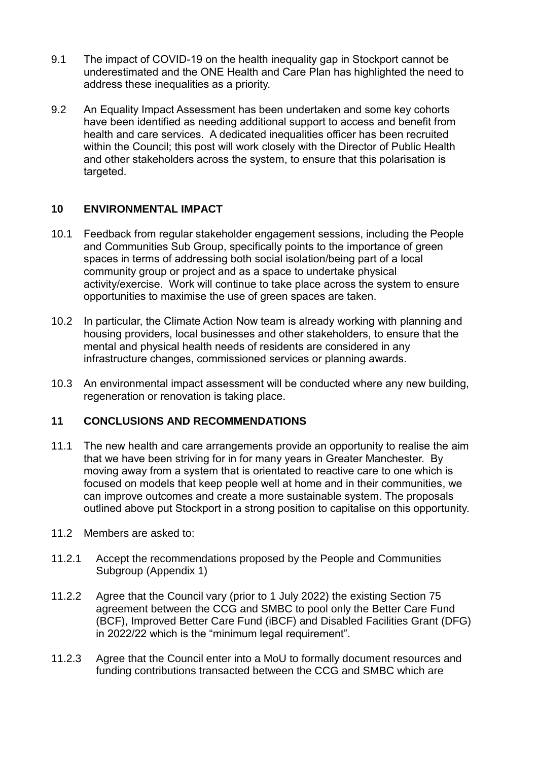- 9.1 The impact of COVID-19 on the health inequality gap in Stockport cannot be underestimated and the ONE Health and Care Plan has highlighted the need to address these inequalities as a priority.
- 9.2 An Equality Impact Assessment has been undertaken and some key cohorts have been identified as needing additional support to access and benefit from health and care services. A dedicated inequalities officer has been recruited within the Council; this post will work closely with the Director of Public Health and other stakeholders across the system, to ensure that this polarisation is targeted.

#### **10 ENVIRONMENTAL IMPACT**

- 10.1 Feedback from regular stakeholder engagement sessions, including the People and Communities Sub Group, specifically points to the importance of green spaces in terms of addressing both social isolation/being part of a local community group or project and as a space to undertake physical activity/exercise. Work will continue to take place across the system to ensure opportunities to maximise the use of green spaces are taken.
- 10.2 In particular, the Climate Action Now team is already working with planning and housing providers, local businesses and other stakeholders, to ensure that the mental and physical health needs of residents are considered in any infrastructure changes, commissioned services or planning awards.
- 10.3 An environmental impact assessment will be conducted where any new building, regeneration or renovation is taking place.

### **11 CONCLUSIONS AND RECOMMENDATIONS**

- 11.1 The new health and care arrangements provide an opportunity to realise the aim that we have been striving for in for many years in Greater Manchester. By moving away from a system that is orientated to reactive care to one which is focused on models that keep people well at home and in their communities, we can improve outcomes and create a more sustainable system. The proposals outlined above put Stockport in a strong position to capitalise on this opportunity.
- 11.2 Members are asked to:
- 11.2.1 Accept the recommendations proposed by the People and Communities Subgroup (Appendix 1)
- 11.2.2 Agree that the Council vary (prior to 1 July 2022) the existing Section 75 agreement between the CCG and SMBC to pool only the Better Care Fund (BCF), Improved Better Care Fund (iBCF) and Disabled Facilities Grant (DFG) in 2022/22 which is the "minimum legal requirement".
- 11.2.3 Agree that the Council enter into a MoU to formally document resources and funding contributions transacted between the CCG and SMBC which are